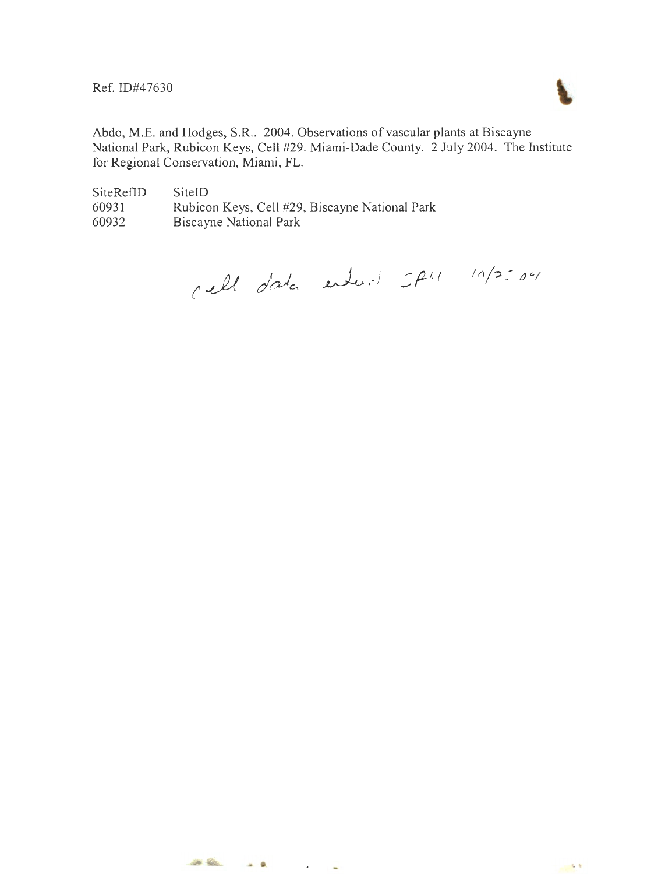Ref. ID#47630



Abdo, M.E. and Hodges, S.R.. 2004. Observations of vascular plants at Biscayne National Park, Rubicon Keys, Cell #29. Miami-Dade County. 2 July 2004. The Institute for Regional Conservation, Miami, FL.

SiteRefID 60931 60932 SiteID Rubicon Keys, Cell #29, Biscayne National Park Biscayne National Park

call data entered SPH 10/2504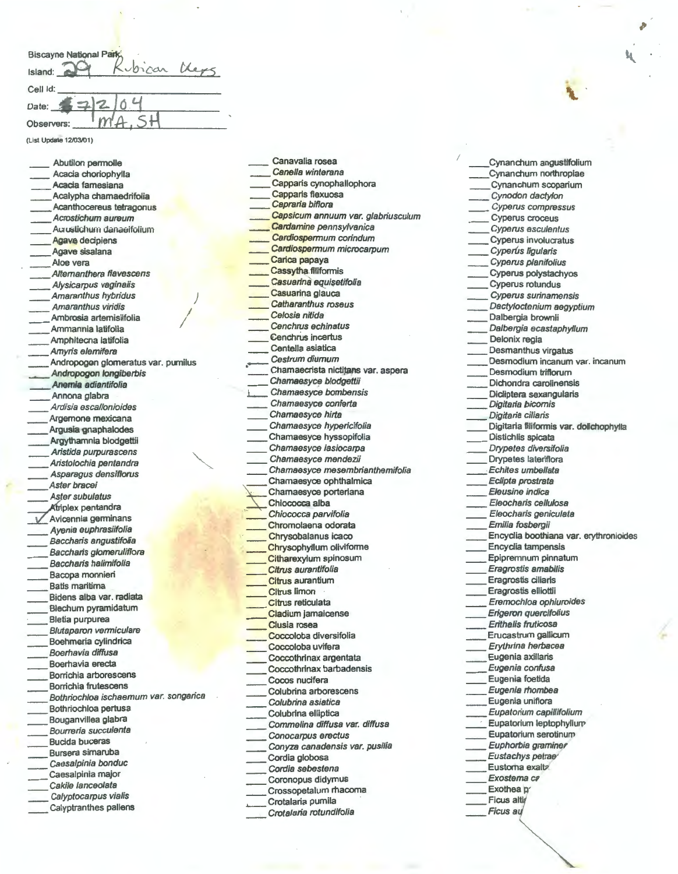| Biscayne National Park |
|------------------------|
| voican<br>Island:      |
| Cell Id:               |
| Date:                  |
| m'<br>Observers:       |
| (List Update 12/03/01) |

*I* 

*)* 

Abutilon permolle Acacia choriophylla Acacia famesiana \_\_ Acalypha chamaedrifolia Acanthocereus tetragonus Acrostichum aureum Auruslichum danaeifolium Agave decipiens Agave sisalana Aloe vera Altemanthera flavescens Alysicarpus vaginalis Amaranthus hybridus Amaranthus viridis Ambrosia artemisiifolia Ammannia latifolia Amphitecna latifolia Amyris elemifera *I*  Andropogon glomeratus var. pumilus \_\_ Andropogon /ongiberbis Anemia adiantifolia Annona glabra Ardisia escallonioides Argemone mexicana Argusia gnaphalodes Argythamnia blodgettii \_\_ Aristida purpurascens Aristolochia pentandra \_\_ Asparagus densiflorus Aster bracei Aster subulatus<br>Atriplex pentandra Avicennia germinans \_\_ Ayenia euphrasiifolia Baccharis angustifolia Baccharis glomeruliflora Baccharis halimifolia Bacopa monnieri Batis maritima Bidens alba var. radiata \_\_ Blechum pyramidatum \_\_ Bletia purpurea Blutaparon vermiculare \_\_ Boehmeria cylindrica Boerhavia diffusa Boerhavia erecta Borrichia arborescens Borrichia frutescens Bothriochloa ischaemum var. songarica \_\_ Bothriochloa pertusa Bouganvillea glabra Bourreria succulenta Bucida buceras Bursera simaruba Caesalpinia bonduc Caesalpinia major Cakile /anceolata Calyptocarpus vialis

Calyptranthes pallens

Canella winterana Capparis cynophallophora Capparis flexuosa Capraria biflora Capsicum annuum var. glabriusculum Cardamine pennsylvanica Cardiospermum corindum Cardiospermum microcarpum Carica papaya Cassytha.filiformis Casuarina equisetifolia Casuarina glauca Catharanthus roseus Ce/osia nitida Cenchrus echinatus Cenchrus incertus Centella asiatica Cestrum diurnum Chamaecrista nictitans var. aspera Chamaesyce blodgettii Chamaesyce bombensis \_\_ Chamaesyce conferta Chamaesyce hirta Chamaesyce hypericifolia Chamaesyce hyssopifolia Chamaesyce lasiocarpa \_\_ Chamaesyce mendezii Chamaesyce mesembrianthemifolia Chamaesyce ophthalmica Chamaesyce porteriana Chiococca alba Chiococca parvifolia Chromolaena odorata \_\_ Chrysobalanus icaco Chrysophyllum oliviforme Citharexylum spinosum Citrus aurantifolia Citrus aurantium Citrus limon Citrus reticulata Cladium jamaicense Clusia rosea Coccoloba diversifolia Coccoloba uvifera Coccothrinax argentata Coccothrinax barbadensis Cocos nucifera Colubrina arborescens Colubrina asiatica Colubrina elliptica Commelina diffusa var. diffusa \_\_ Conocarpus erectus Conyza canadensis var. pusilia Cordia globosa Cordia sebestena Coronopus didymus \_\_ Crossopetalum rhacoma Crotalaria pumila Crotalaria rotundifolia

Canavalia rosea

\_\_ Cynanchum angustifolium \_\_ Cynanchum northropiae \_\_ Cynanchum scoparium \_\_ Cynodon dacty/on \_\_ Cyperus compressus Cyperus croceus \_\_ Cyperus escu/entus Cyperus involucratus Cyperus ligularis Cyperus planifolius \_\_ Cyperus polystachyos \_\_ Cyperus rotundus \_\_ Cyperus surinamensis Dactyloctenium aegyptium Dalbergia brownii Dalbergia ecastaphyllum Delonix regia Desmanthus virgatus Desmodium incanum var. incanum Desmodium triflorum Dichondra carolinensis Dicliptera sexangularis Digitaria bicomis Digitaria ciliaris Digitaria filiformis var. dolichophylla Distichlis spicata Drypetes diversifolia Drypetes lateriflora Echites umbellata \_\_ Eclipta prostrata Eleusine indica Eleocharis cellulosa \_\_ Eleocharis geniculata \_\_ Emilia fosbergii Encyclia boothiana var. erythronioides \_\_ Encyclia tampensis \_\_ Epipremnum pinnatum \_\_ Eragrostis amabilis \_\_ Eragrostis ciliaris \_\_ Eragrostis elliottii \_\_ Eremochloa ophiuroides Erigeron quercifolius Erithalis fruticosa \_\_ Erucastrum gallicum \_\_ Erythrina herbacea \_\_ Eugenia axillaris Eugenia confusa Eugenia foetida Eugenia rhombea Eugenia uniflora \_\_ Eupatorium capillifolium Eupatorium leptophyllur $p$ \_\_ Eupatorium serotinum Euphorbia graminer Eustachys petrae Eustorna exaltz Exostema ca Exothea p **Ficus au** 

*r*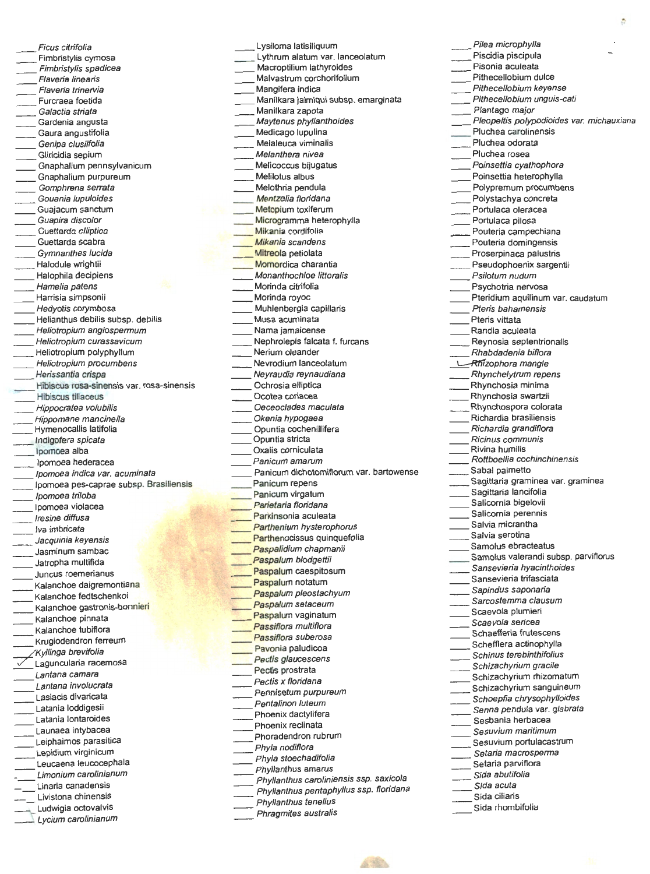Ficus citrifolia Fimbristylis cymosa Fimbristylis spadicea F/averia linearis Flaveria trinervia Furcraea foetida Galactia striata Gardenia angusta Gaura angustifolia Genipa clusiifolia Gliricidia sepium Gnaphalium pennsylvanicum \_\_ Gnaphalium purpureum Gomphrena serrata Gouania lupuloides Guajacum sanctum Guapira discolor \_\_ Guettarda clliptioa Guettarda scabra \_\_ Gymnanthes lucida Halodule wrightii Halophila decipiens Hamelia patens \_\_ Harrisia simpsonii Hedyotis corymbosa Helianthus debilis subsp. debilis \_\_ Heliotropium angiospermum \_\_ Hefiotropium curassavicum \_\_ Heliotropium polyphyllum Heliotropium procumbens \_\_ Herissantia crispa Hibiscus rosa-sinensis var. rosa-sinensis Hibiscus tiliaceus Hippocratea volubilis Hippomane mancinella Hymenocallis latifolia Indigofera spicata \_\_ lpomoea alba \_\_ lpomoea hederacea Ipomoea indica var. acuminata lpomoea pes-caprae subsp. Brasiliensis \_\_ /pomoea triloba Ipomoea violacea /resine diffusa Iva imbricata \_\_ Jacquinia keyensis Jasminum sambac = Jatropha multifida Juncus roemerianus Kalanchoe daigremontiana Kalanchoe fedtschenkoi Kalanchoe gastronis-bonnieri Kalanchoe pinnata Kalanchoe tubiflora Krugiodendron ferreum //Kyllinga brevifolia Laguncularia racemosa Lantana camara Lantana involucrata Lasiacis divaricata Latania loddigesii Latania lontaroides Launaea intybacea Latalia longicales<br>
Latalia intybacea<br>
Leiphaimos parasitica Leiphaimos parasitic<br>
Lepidium virginicum Lepidium virginicum<br>Leucaena leucocephala Limonium carolinianum Unaria canadensis Livistona chinensis Ludwigia octovalvis

Lycium carolinianum

Lysiloma latisiliquum Lythrum alatum var. lanceolatum Macroptilium lathyroides Malvastrum corchorifolium Mangifera indica Manilkara jaimigui subsp. emarginata Manilkara zapota Maytenus phyllanthoides Medicago lupulina Melaleuca viminalis Melanthera nivea Melicoccus bijugatus Melilotus albus Melothria pendula Mentzelia floridana Metopium toxiferum Microgramma heterophylla **Mikania** cordifolia Mikania scandens Mitreola petiolata Momordica charantia Monanthochloe littoralis Morinda citrifolia Morinda royoc Muhlenbergia capillaris Musa acuminata Nama jamaicense Nephrolepis falcata f. furcans Nerium oleander Nevrodium lanceolatum Neyraudia reynaudiana Ochrosia elliptica Ocotea coriacea Oeceoc/ades maculata Okenia hypogaea \_\_ Opuntia cochenillifera Opuntia stricta Oxalis corniculata Panicum amarum Panlcum dichotomiflorum var. bartowense Panicum repens Panicum virgatum Parietaria floridana Parkinsonia aculeata Parthenium hysterophorus Parthenocissus quinquefolia Paspalidium chapmanii Paspalum blodgettii Paspalum caespitosum Paspalum notatum Paspalum pleostachyum Paspalum setaceum Paspalum vaginatum Passiflora multiflora Passiflora suberosa Pavonia paludicoa Pectis glaucescens Pectis prostrata Pectis x floridana ecus x hondaria<br>
Pennisetum purpureum<br>
Phoenix dactylifera<br>
Phoenix dactylifera<br>
Phoenix dactylifera Phoenix dactylifera Phoenix reclinata Phoradendron rubrum Phyla nodiflora Phyla stoechadifolia Phyllanthus amarus Phyllanthus caroliniensis ssp. saxicola<br>Phyllanthus pentaphyllus ssp. floridana<br>Phyllanthus tenellus Phyl/anthus pentaphyllus ssp. floridana = Phyllanthus tenellus Phragmites australis

Pilea microphylla Piscidia piscipula Pisonia aculeata Pithecellobium dulce Pithecellobium keyense Pithecellobium unguis-cati Plantago major Pleopeltis polypodioides var. michauxiana Pluchea carolinensis Pluchea odorata Pluchea rosea Poinsettia cyathophora Poinsettia heterophylla Polypremum procumbens Polystachya concreta Portulaca oleracea Portulaca pilosa Pouteria campechiana Pouteria domingensis Proserpinaca palustris Pseudophoenix sargentii Psilotum nudum Psychotria nervosa Pteridium aquilinum var. caudatum Pteris bahamensis Pteris vittata Randia aculeata Reynosia septentrionalis Rhabdadenia biflora L-Rfllzophora mangle \_\_ Rhynchelytrum repens Rhynchosia minima \_\_ Rhynchosia **swartzii**  Rhynchospora colorata Richardia brasiliensis Richardia grandiflora Ricinus communis Rivina humilis Rottboelfia cochinchinensis Sabal palmetto Sagittaria graminea var. graminea Sagittaria lancifolia Salicornia bigelovii Salicornia perennis Salvia micrantha Salvia serotina Samolus ebracteatus Samolus valerandi subsp. parviflorus Sansevieria hyacinthoides Sansevieria trifasciata Sapindus saponaria Sarcostemma clausum Scaevola plumieri Scaevola sericea Schaefferia frutescens Scheffiera actinophylla Schinus terebinthifolius Schizachyrium gracile Schizachyrium rhizomatum Schizachyrium sanguineum Schizachylian mizoniatam<br>Schizachylian sanguineum<br>Schoepfia chrysophylloides Senna pendula var. galleen.<br>
Schoepfia chrysophylloides<br>
Senna pendula var. glabrata Senna pendula var. glabrata<br>Sesbania herbacea Sesuvium maritimum Sesuvium portulacastrum Setaria macrosperma Setaria parviflora Sida abutifolia

- Sida acuta Sida ciliaris
- Sida rhombifolia
-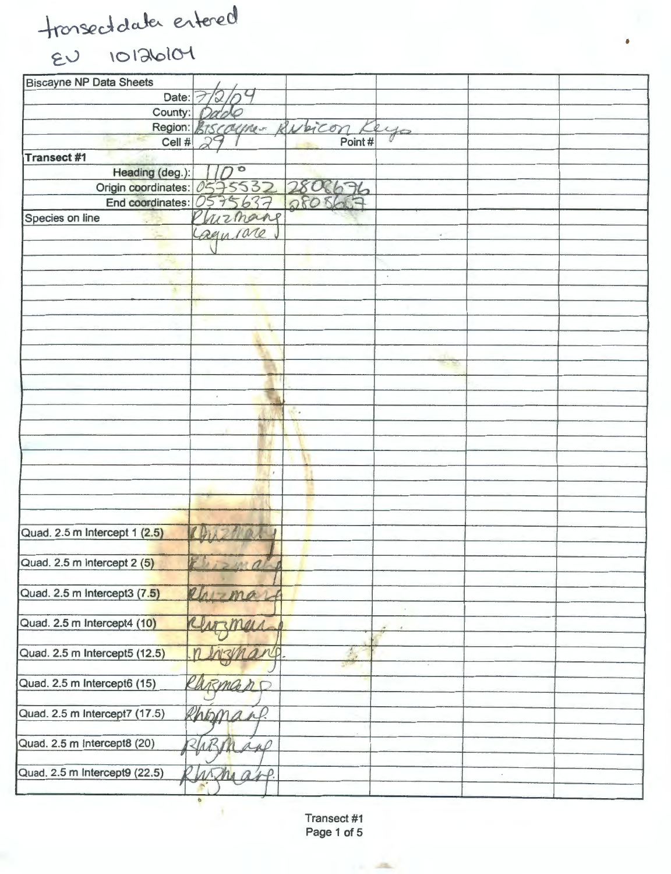tronsect data entered

 $ev$   $\lnot$   $\lnot$   $\lnot$   $\lnot$   $\lnot$ 

| <b>Biscayne NP Data Sheets</b> |                           |                             |            |  |
|--------------------------------|---------------------------|-----------------------------|------------|--|
| Date:                          |                           |                             |            |  |
| County:                        |                           |                             |            |  |
|                                | Region: BISCOURE- BURICON |                             | eyo        |  |
| Cell #                         | DQ                        | Point#                      |            |  |
| Transect #1                    |                           |                             |            |  |
| Heading (deg.):                |                           |                             |            |  |
| Origin coordinates: 0575532    |                           |                             |            |  |
| End coordinates:               | 0575637                   | 2806676                     |            |  |
| Species on line                | Chizmang                  |                             |            |  |
|                                | Cagurare                  |                             | $\omega$   |  |
|                                |                           |                             |            |  |
|                                |                           |                             |            |  |
|                                |                           |                             | $^\circ$   |  |
| a.                             |                           |                             |            |  |
|                                |                           |                             |            |  |
|                                |                           |                             |            |  |
|                                |                           |                             |            |  |
|                                |                           |                             |            |  |
|                                |                           |                             |            |  |
|                                |                           |                             |            |  |
|                                | $\epsilon$                |                             |            |  |
|                                |                           | w.                          |            |  |
|                                |                           |                             |            |  |
|                                |                           |                             |            |  |
|                                |                           |                             |            |  |
|                                | $\theta$                  |                             |            |  |
|                                |                           |                             |            |  |
|                                |                           |                             |            |  |
|                                |                           |                             |            |  |
| Quad. 2.5 m Intercept 1 (2.5)  |                           |                             |            |  |
|                                |                           |                             |            |  |
| Quad. 2.5 m Intercept 2 (5)    |                           |                             |            |  |
|                                |                           |                             |            |  |
| Quad. 2.5 m Intercept3 (7.5)   | Rhima                     |                             |            |  |
|                                |                           |                             | $\epsilon$ |  |
| Quad. 2.5 m Intercept4 (10)    | mers                      |                             |            |  |
|                                |                           |                             |            |  |
| Quad. 2.5 m Intercept5 (12.5)  |                           | $\mathcal{D}_{\mathcal{A}}$ |            |  |
|                                |                           |                             |            |  |
| Quad. 2.5 m Intercept6 (15)    | Rengen C                  |                             |            |  |
|                                |                           |                             |            |  |
| Quad. 2.5 m Intercept7 (17.5)  | Rhoman.                   |                             |            |  |
|                                |                           |                             |            |  |
| Quad. 2.5 m Intercept8 (20)    | 2/1B1<br>app              |                             |            |  |
|                                |                           |                             |            |  |
| Quad. 2.5 m Intercept9 (22.5)  | wha<br>$\n  x + x$        |                             |            |  |
|                                |                           |                             |            |  |
|                                |                           |                             |            |  |

•

Transect #1 Page 1 of 5

 $\frac{1}{2} \frac{1}{2} \frac{1}{2} \frac{1}{2} \frac{1}{2} \frac{1}{2} \frac{1}{2} \frac{1}{2} \frac{1}{2} \frac{1}{2} \frac{1}{2} \frac{1}{2} \frac{1}{2} \frac{1}{2} \frac{1}{2} \frac{1}{2} \frac{1}{2} \frac{1}{2} \frac{1}{2} \frac{1}{2} \frac{1}{2} \frac{1}{2} \frac{1}{2} \frac{1}{2} \frac{1}{2} \frac{1}{2} \frac{1}{2} \frac{1}{2} \frac{1}{2} \frac{1}{2} \frac{1}{2} \frac{$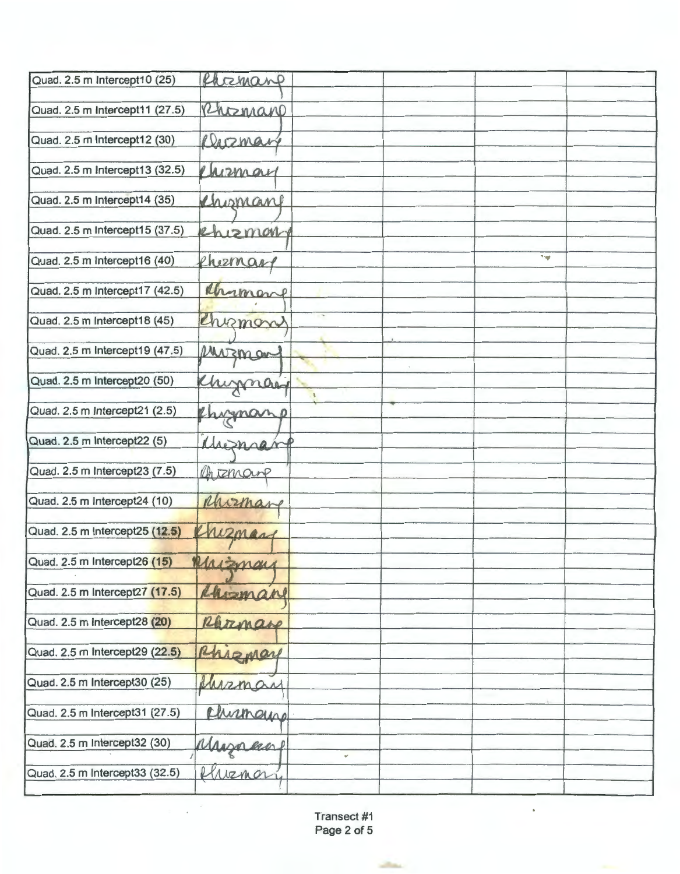| Quad. 2.5 m Intercept10 (25)   | Phoemane      |  |
|--------------------------------|---------------|--|
|                                |               |  |
| Quad. 2.5 m Intercept11 (27.5) | Rhomano       |  |
| Quad. 2.5 m Intercept12 (30)   | Diszmany      |  |
|                                |               |  |
| Quad. 2.5 m Intercept13 (32.5) | ensmay        |  |
|                                |               |  |
| Quad. 2.5 m Intercept14 (35)   | Chomane       |  |
| Quad. 2.5 m Intercept15 (37.5) | Rhizmary      |  |
|                                |               |  |
| Quad. 2.5 m Intercept16 (40)   | TW.<br>eneman |  |
|                                |               |  |
| Quad. 2.5 m Intercept17 (42.5) | Mamone        |  |
|                                |               |  |
| Quad. 2.5 m Intercept18 (45)   | Chimon        |  |
| Quad. 2.5 m Intercept19 (47.5) | Muzman        |  |
|                                |               |  |
| Quad. 2.5 m Intercept20 (50)   | Khimnay       |  |
|                                | $\mathbf{J}$  |  |
| Quad. 2.5 m Intercept21 (2.5)  | Chimano       |  |
| Quad. 2.5 m Intercept22 (5)    |               |  |
|                                | Misman        |  |
| Quad. 2.5 m Intercept23 (7.5)  | Chiznane      |  |
|                                |               |  |
| Quad. 2.5 m Intercept24 (10)   | Morman        |  |
|                                |               |  |
| Quad. 2.5 m Intercept25 (12.5) | enzman        |  |
| Quad. 2.5 m Intercept26 (15)   | Marznay       |  |
|                                |               |  |
| Quad. 2.5 m Intercept27 (17.5) | Chieman       |  |
|                                |               |  |
| Quad. 2.5 m Intercept28 (20)   | Razmare       |  |
| Quad. 2.5 m Intercept29 (22.5) |               |  |
|                                | Rhizmar       |  |
| Quad. 2.5 m Intercept30 (25)   | hizman        |  |
|                                |               |  |
| Quad. 2.5 m Intercept31 (27.5) | chismayre     |  |
|                                |               |  |
| Quad. 2.5 m Intercept32 (30)   | Myran         |  |
| Quad. 2.5 m Intercept33 (32.5) | venor         |  |
|                                |               |  |

Transect #1 Page 2 of 5

**State** 

 $\mathcal{L}$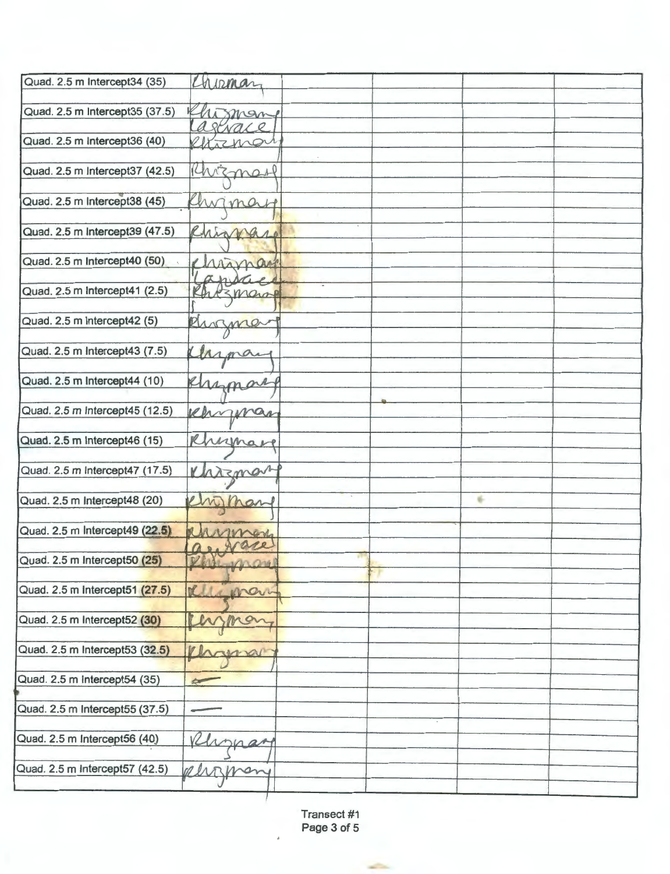| Quad. 2.5 m Intercept34 (35)   | Chirman                   |  |   |  |
|--------------------------------|---------------------------|--|---|--|
| Quad. 2.5 m Intercept35 (37.5) | man                       |  |   |  |
|                                | arevace                   |  |   |  |
| Quad. 2.5 m Intercept36 (40)   | Urznan                    |  |   |  |
|                                |                           |  |   |  |
| Quad. 2.5 m Intercept37 (42.5) | Chizman                   |  |   |  |
|                                |                           |  |   |  |
| Quad. 2.5 m Intercept38 (45)   | hw<br>ma<br>$\mathcal{F}$ |  |   |  |
|                                |                           |  |   |  |
| Quad. 2.5 m Intercept39 (47.5) | Rhingare                  |  |   |  |
|                                |                           |  |   |  |
| Quad. 2.5 m Intercept40 (50)   | chimago                   |  |   |  |
| Quad. 2.5 m Intercept41 (2.5)  | 13 mars                   |  |   |  |
|                                |                           |  |   |  |
| Quad. 2.5 m Intercept42 (5)    | Rusma                     |  |   |  |
|                                |                           |  |   |  |
| Quad. 2.5 m Intercept43 (7.5)  | mai                       |  |   |  |
|                                |                           |  |   |  |
| Quad. 2.5 m Intercept44 (10)   |                           |  |   |  |
|                                | emman                     |  |   |  |
| Quad. 2.5 m Intercept45 (12.5) |                           |  |   |  |
|                                | enning                    |  |   |  |
| Quad. 2.5 m Intercept46 (15)   |                           |  |   |  |
|                                | Rhynare                   |  |   |  |
|                                |                           |  |   |  |
| Quad. 2.5 m Intercept47 (17.5) | Khrzman                   |  |   |  |
|                                |                           |  | 6 |  |
| Quad. 2.5 m Intercept48 (20)   | many                      |  |   |  |
|                                |                           |  |   |  |
| Quad. 2.5 m Intercept49 (22.5) | Monar                     |  |   |  |
|                                | as ware                   |  |   |  |
| Quad. 2.5 m Intercept50 (25)   | Phil man                  |  |   |  |
|                                |                           |  |   |  |
| Quad. 2.5 m Intercept51 (27.5) | 711<br>mari               |  |   |  |
|                                |                           |  |   |  |
| Quad. 2.5 m Intercept52 (30)   | mo                        |  |   |  |
|                                |                           |  |   |  |
| Quad. 2.5 m Intercept53 (32.5) | wou                       |  |   |  |
|                                |                           |  |   |  |
| Quad. 2.5 m Intercept54 (35)   | <b>Com</b>                |  |   |  |
|                                |                           |  |   |  |
| Quad. 2.5 m Intercept55 (37.5) |                           |  |   |  |
|                                |                           |  |   |  |
| Quad. 2.5 m Intercept56 (40)   | naar                      |  |   |  |
|                                |                           |  |   |  |
| Quad. 2.5 m Intercept57 (42.5) |                           |  |   |  |
|                                |                           |  |   |  |
|                                |                           |  |   |  |

Transect #1 Page 3 of 5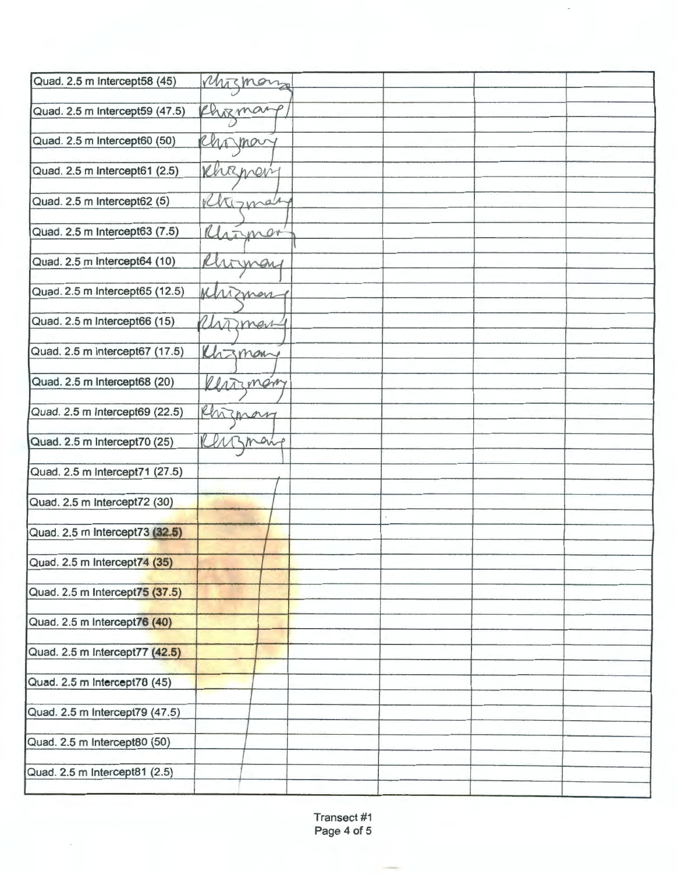| Quad. 2.5 m Intercept58 (45)   | Muznon      |  |  |
|--------------------------------|-------------|--|--|
|                                |             |  |  |
| Quad. 2.5 m Intercept59 (47.5) | Chizman     |  |  |
|                                |             |  |  |
| Quad. 2.5 m Intercept60 (50)   | Chomary     |  |  |
| Quad. 2.5 m Intercept61 (2.5)  |             |  |  |
|                                | Khirpery    |  |  |
| Quad. 2.5 m Intercept62 (5)    | Khizman     |  |  |
|                                |             |  |  |
| Quad. 2.5 m Intercept63 (7.5)  | Marmer      |  |  |
|                                |             |  |  |
| Quad. 2.5 m Intercept64 (10)   | Rhoman      |  |  |
|                                |             |  |  |
| Quad. 2.5 m Intercept65 (12.5) | Mrznan      |  |  |
|                                |             |  |  |
| Quad. 2.5 m Intercept66 (15)   | Untmen      |  |  |
| Quad. 2.5 m Intercept67 (17.5) |             |  |  |
|                                | Khzmany     |  |  |
| Quad. 2.5 m Intercept68 (20)   |             |  |  |
|                                | Restingning |  |  |
| Quad. 2.5 m Intercept69 (22.5) | Rhizmany    |  |  |
|                                |             |  |  |
| Quad. 2.5 m Intercept70 (25)   | many        |  |  |
|                                |             |  |  |
| Quad. 2.5 m Intercept71 (27.5) |             |  |  |
|                                |             |  |  |
| Quad. 2.5 m Intercept72 (30)   |             |  |  |
| Quad. 2.5 m Intercept73 (32.5) |             |  |  |
|                                |             |  |  |
| Quad. 2.5 m Intercept74 (35)   |             |  |  |
|                                |             |  |  |
| Quad. 2.5 m Intercept75 (37.5) |             |  |  |
|                                |             |  |  |
| Quad. 2.5 m Intercept76 (40)   |             |  |  |
|                                |             |  |  |
| Quad. 2.5 m Intercept77 (42.5) |             |  |  |
| Quad. 2.5 m Intercept78 (45)   |             |  |  |
|                                |             |  |  |
| Quad. 2.5 m Intercept79 (47.5) |             |  |  |
|                                |             |  |  |
| Quad. 2.5 m Intercept80 (50)   |             |  |  |
|                                |             |  |  |
| Quad. 2.5 m Intercept81 (2.5)  |             |  |  |
|                                |             |  |  |

Transect #1 Page 4 of 5